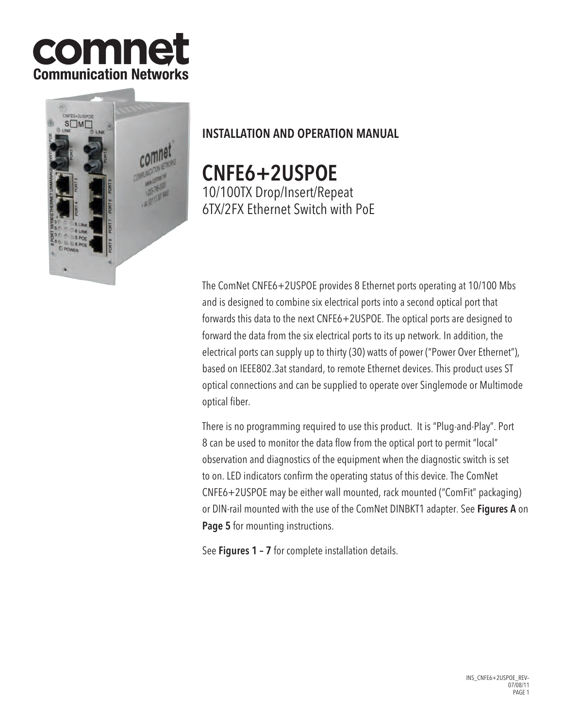



# INSTALLATION AND OPERATION MANUAL

CNFE6+2USPOE 10/100TX Drop/Insert/Repeat 6TX/2FX Ethernet Switch with PoE

The ComNet CNFE6+2USPOE provides 8 Ethernet ports operating at 10/100 Mbs and is designed to combine six electrical ports into a second optical port that forwards this data to the next CNFE6+2USPOE. The optical ports are designed to forward the data from the six electrical ports to its up network. In addition, the electrical ports can supply up to thirty (30) watts of power ("Power Over Ethernet"), based on IEEE802.3at standard, to remote Ethernet devices. This product uses ST optical connections and can be supplied to operate over Singlemode or Multimode optical fiber.

There is no programming required to use this product. It is "Plug-and-Play". Port 8 can be used to monitor the data flow from the optical port to permit "local" observation and diagnostics of the equipment when the diagnostic switch is set to on. LED indicators confirm the operating status of this device. The ComNet CNFE6+2USPOE may be either wall mounted, rack mounted ("ComFit" packaging) or DIN-rail mounted with the use of the ComNet DINBKT1 adapter. See Figures A on Page 5 for mounting instructions.

See Figures 1 – 7 for complete installation details.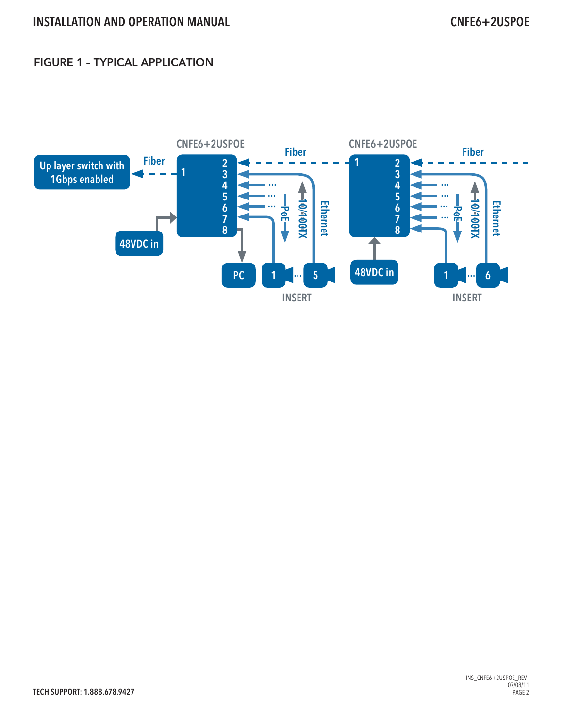## FIGURE 1 – TYPICAL APPLICATION

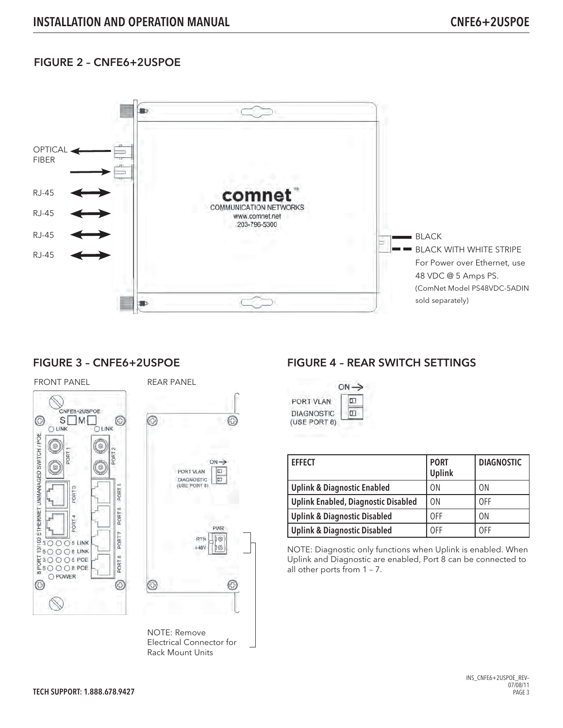## FIGURE 2 – CNFE6+2USPOE



### FIGURE 3 – CNFE6+2USPOE



⊙ ◎  $ON \rightarrow$ PORT VLAN  $\overline{\Xi}$ **DIAGNOSTIC**  $\overline{\mathbb{E}}$ (USE PORT 8) **PWR RTN** i G  $+48V$ 佤 ☺ G

NOTE: Remove Electrical Connector for Rack Mount Units

## FIGURE 4 – REAR SWITCH SETTINGS



| <b>EFFECT</b>                              | <b>PORT</b><br><b>Uplink</b> | <b>DIAGNOSTIC</b> |
|--------------------------------------------|------------------------------|-------------------|
| <b>Uplink &amp; Diagnostic Enabled</b>     | 0 <sub>N</sub>               | 0 <sub>N</sub>    |
| <b>Uplink Enabled, Diagnostic Disabled</b> | 0 <sub>N</sub>               | 0FF               |
| <b>Uplink &amp; Diagnostic Disabled</b>    | 0FF                          | 0 <sub>N</sub>    |
| <b>Uplink &amp; Diagnostic Disabled</b>    | 0FF                          | 0FF               |

NOTE: Diagnostic only functions when Uplink is enabled. When Uplink and Diagnostic are enabled, Port 8 can be connected to all other ports from 1 – 7.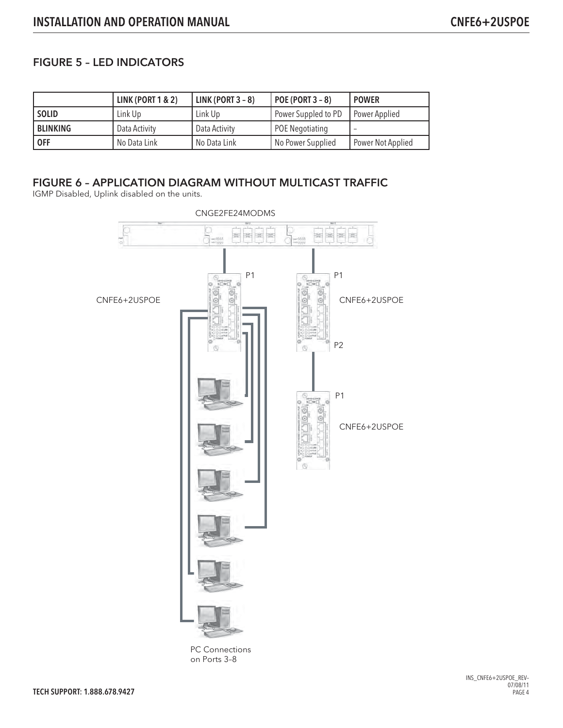## FIGURE 5 – LED INDICATORS

|              | <b>LINK (PORT 1 &amp; 2)</b> | LINK (PORT $3 - 8$ ) | <b>POE (PORT 3 - 8)</b> | <b>POWER</b>      |
|--------------|------------------------------|----------------------|-------------------------|-------------------|
| <b>SOLID</b> | Link Up                      | Link Up              | Power Suppled to PD     | Power Applied     |
| BLINKING     | Data Activity                | Data Activity        | POE Negotiating         |                   |
| <b>OFF</b>   | No Data Link                 | No Data Link         | No Power Supplied       | Power Not Applied |

## FIGURE 6 – APPLICATION DIAGRAM WITHOUT MULTICAST TRAFFIC

IGMP Disabled, Uplink disabled on the units.



PC Connections on Ports 3–8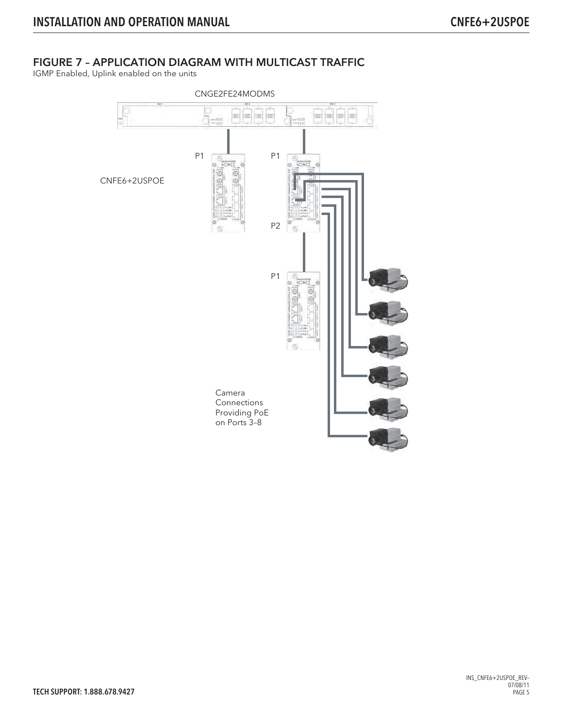## FIGURE 7 – APPLICATION DIAGRAM WITH MULTICAST TRAFFIC

IGMP Enabled, Uplink enabled on the units